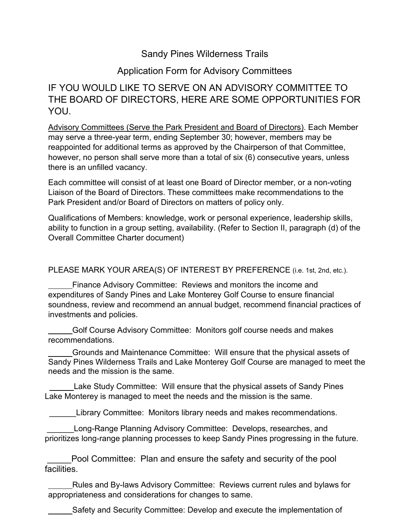## Sandy Pines Wilderness Trails

## Application Form for Advisory Committees

## IF YOU WOULD LIKE TO SERVE ON AN ADVISORY COMMITTEE TO THE BOARD OF DIRECTORS, HERE ARE SOME OPPORTUNITIES FOR YOU.

Advisory Committees (Serve the Park President and Board of Directors). Each Member may serve a three-year term, ending September 30; however, members may be reappointed for additional terms as approved by the Chairperson of that Committee, however, no person shall serve more than a total of six (6) consecutive years, unless there is an unfilled vacancy.

Each committee will consist of at least one Board of Director member, or a non-voting Liaison of the Board of Directors. These committees make recommendations to the Park President and/or Board of Directors on matters of policy only.

Qualifications of Members: knowledge, work or personal experience, leadership skills, ability to function in a group setting, availability. (Refer to Section II, paragraph (d) of the Overall Committee Charter document)

PLEASE MARK YOUR AREA(S) OF INTEREST BY PREFERENCE (i.e. 1st, 2nd, etc.).

Finance Advisory Committee: Reviews and monitors the income and expenditures of Sandy Pines and Lake Monterey Golf Course to ensure financial soundness, review and recommend an annual budget, recommend financial practices of investments and policies.

Golf Course Advisory Committee: Monitors golf course needs and makes recommendations.

Grounds and Maintenance Committee: Will ensure that the physical assets of Sandy Pines Wilderness Trails and Lake Monterey Golf Course are managed to meet the needs and the mission is the same.

 Lake Study Committee: Will ensure that the physical assets of Sandy Pines Lake Monterey is managed to meet the needs and the mission is the same.

Library Committee: Monitors library needs and makes recommendations.

Long-Range Planning Advisory Committee: Develops, researches, and prioritizes long-range planning processes to keep Sandy Pines progressing in the future.

Pool Committee: Plan and ensure the safety and security of the pool facilities.

Rules and By-laws Advisory Committee: Reviews current rules and bylaws for appropriateness and considerations for changes to same.

Safety and Security Committee: Develop and execute the implementation of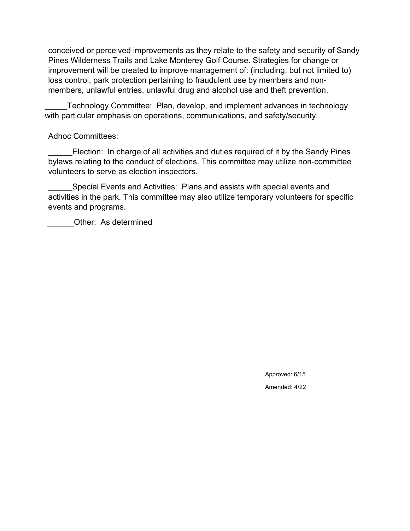conceived or perceived improvements as they relate to the safety and security of Sandy Pines Wilderness Trails and Lake Monterey Golf Course. Strategies for change or improvement will be created to improve management of: (including, but not limited to) loss control, park protection pertaining to fraudulent use by members and nonmembers, unlawful entries, unlawful drug and alcohol use and theft prevention.

\_\_\_\_\_Technology Committee: Plan, develop, and implement advances in technology with particular emphasis on operations, communications, and safety/security.

## Adhoc Committees:

Election: In charge of all activities and duties required of it by the Sandy Pines bylaws relating to the conduct of elections. This committee may utilize non-committee volunteers to serve as election inspectors.

Special Events and Activities: Plans and assists with special events and activities in the park. This committee may also utilize temporary volunteers for specific events and programs.

Other: As determined

Approved: 6/15 Amended: 4/22